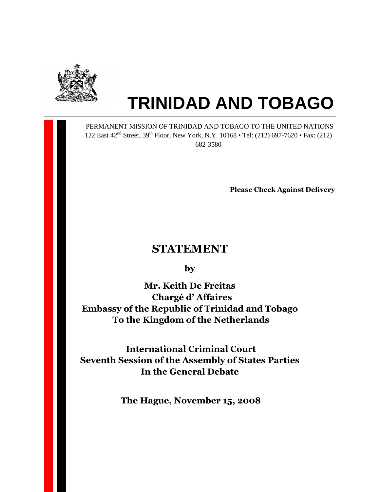

M

# **TRINIDAD AND TOBAGO**

 PERMANENT MISSION OF TRINIDAD AND TOBAGO TO THE UNITED NATIONS 122 East 42<sup>nd</sup> Street, 39<sup>th</sup> Floor, New York, N.Y. 10168 • Tel: (212) 697-7620 • Fax: (212) 682-3580

Please Check Against Delivery

# STATEMENT

by

Mr. Keith De Freitas Chargé d' Affaires Embassy of the Republic of Trinidad and Tobago To the Kingdom of the Netherlands

 International Criminal Court Seventh Session of the Assembly of States Parties In the General Debate

The Hague, November 15, 2008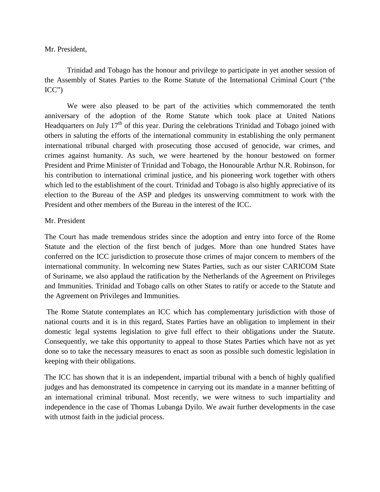#### Mr. President,

 Trinidad and Tobago has the honour and privilege to participate in yet another session of the Assembly of States Parties to the Rome Statute of the International Criminal Court ("the ICC")

 We were also pleased to be part of the activities which commemorated the tenth anniversary of the adoption of the Rome Statute which took place at United Nations Headquarters on July  $17<sup>th</sup>$  of this year. During the celebrations Trinidad and Tobago joined with others in saluting the efforts of the international community in establishing the only permanent international tribunal charged with prosecuting those accused of genocide, war crimes, and crimes against humanity. As such, we were heartened by the honour bestowed on former President and Prime Minister of Trinidad and Tobago, the Honourable Arthur N.R. Robinson, for his contribution to international criminal justice, and his pioneering work together with others which led to the establishment of the court. Trinidad and Tobago is also highly appreciative of its election to the Bureau of the ASP and pledges its unswerving commitment to work with the President and other members of the Bureau in the interest of the ICC.

#### Mr. President

The Court has made tremendous strides since the adoption and entry into force of the Rome Statute and the election of the first bench of judges. More than one hundred States have conferred on the ICC jurisdiction to prosecute those crimes of major concern to members of the international community. In welcoming new States Parties, such as our sister CARICOM State of Suriname, we also applaud the ratification by the Netherlands of the Agreement on Privileges and Immunities. Trinidad and Tobago calls on other States to ratify or accede to the Statute and the Agreement on Privileges and Immunities.

 The Rome Statute contemplates an ICC which has complementary jurisdiction with those of national courts and it is in this regard, States Parties have an obligation to implement in their domestic legal systems legislation to give full effect to their obligations under the Statute. Consequently, we take this opportunity to appeal to those States Parties which have not as yet done so to take the necessary measures to enact as soon as possible such domestic legislation in keeping with their obligations.

The ICC has shown that it is an independent, impartial tribunal with a bench of highly qualified judges and has demonstrated its competence in carrying out its mandate in a manner befitting of an international criminal tribunal. Most recently, we were witness to such impartiality and independence in the case of Thomas Lubanga Dyilo. We await further developments in the case with utmost faith in the judicial process.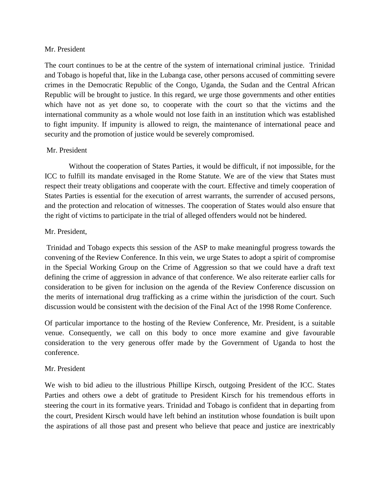#### Mr. President

The court continues to be at the centre of the system of international criminal justice. Trinidad and Tobago is hopeful that, like in the Lubanga case, other persons accused of committing severe crimes in the Democratic Republic of the Congo, Uganda, the Sudan and the Central African Republic will be brought to justice. In this regard, we urge those governments and other entities which have not as yet done so, to cooperate with the court so that the victims and the international community as a whole would not lose faith in an institution which was established to fight impunity. If impunity is allowed to reign, the maintenance of international peace and security and the promotion of justice would be severely compromised.

## Mr. President

 Without the cooperation of States Parties, it would be difficult, if not impossible, for the ICC to fulfill its mandate envisaged in the Rome Statute. We are of the view that States must respect their treaty obligations and cooperate with the court. Effective and timely cooperation of States Parties is essential for the execution of arrest warrants, the surrender of accused persons, and the protection and relocation of witnesses. The cooperation of States would also ensure that the right of victims to participate in the trial of alleged offenders would not be hindered.

## Mr. President,

 Trinidad and Tobago expects this session of the ASP to make meaningful progress towards the convening of the Review Conference. In this vein, we urge States to adopt a spirit of compromise in the Special Working Group on the Crime of Aggression so that we could have a draft text defining the crime of aggression in advance of that conference. We also reiterate earlier calls for consideration to be given for inclusion on the agenda of the Review Conference discussion on the merits of international drug trafficking as a crime within the jurisdiction of the court. Such discussion would be consistent with the decision of the Final Act of the 1998 Rome Conference.

Of particular importance to the hosting of the Review Conference, Mr. President, is a suitable venue. Consequently, we call on this body to once more examine and give favourable consideration to the very generous offer made by the Government of Uganda to host the conference.

#### Mr. President

We wish to bid adieu to the illustrious Phillipe Kirsch, outgoing President of the ICC. States Parties and others owe a debt of gratitude to President Kirsch for his tremendous efforts in steering the court in its formative years. Trinidad and Tobago is confident that in departing from the court, President Kirsch would have left behind an institution whose foundation is built upon the aspirations of all those past and present who believe that peace and justice are inextricably